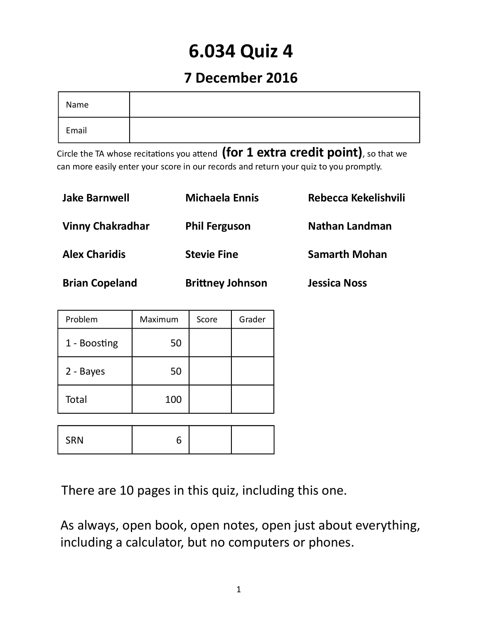# **6.034 Quiz 4**

## **7 December 2016**

| Name  |  |
|-------|--|
| Email |  |

Circle the TA whose recitations you attend **(for 1 extra credit point)**, so that we can more easily enter your score in our records and return your quiz to you promptly.

| <b>Jake Barnwell</b>    | <b>Michaela Ennis</b>   | Rebecca Kekelishvili  |
|-------------------------|-------------------------|-----------------------|
| <b>Vinny Chakradhar</b> | <b>Phil Ferguson</b>    | <b>Nathan Landman</b> |
| <b>Alex Charidis</b>    | <b>Stevie Fine</b>      | <b>Samarth Mohan</b>  |
| <b>Brian Copeland</b>   | <b>Brittney Johnson</b> | <b>Jessica Noss</b>   |

| Problem      | Maximum | Score | Grader |
|--------------|---------|-------|--------|
| 1 - Boosting | 50      |       |        |
| 2 - Bayes    | 50      |       |        |
| Total        | 100     |       |        |
|              |         |       |        |
| <b>SRN</b>   |         |       |        |

There are 10 pages in this quiz, including this one.

As always, open book, open notes, open just about everything, including a calculator, but no computers or phones.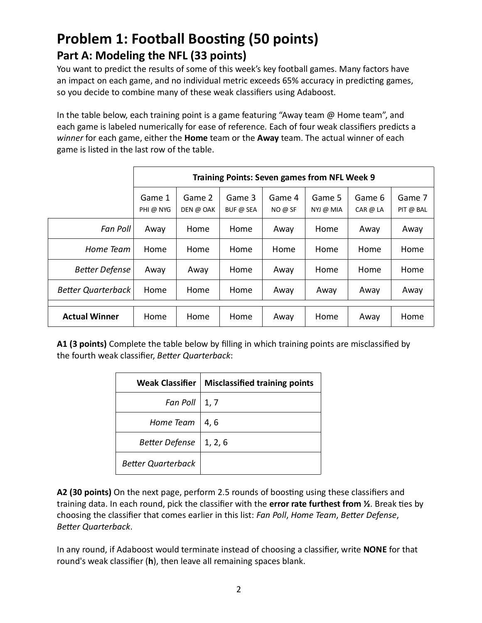## **Problem 1: Football Boosting (50 points) Part A: Modeling the NFL (33 points)**

You want to predict the results of some of this week's key football games. Many factors have an impact on each game, and no individual metric exceeds 65% accuracy in predicting games, so you decide to combine many of these weak classifiers using Adaboost.

In the table below, each training point is a game featuring "Away team @ Home team", and each game is labeled numerically for ease of reference. Each of four weak classifiers predicts a *winner* for each game, either the **Home** team or the **Away** team. The actual winner of each game is listed in the last row of the table.

|                           | <b>Training Points: Seven games from NFL Week 9</b> |                     |                     |                   |                     |                    |                     |
|---------------------------|-----------------------------------------------------|---------------------|---------------------|-------------------|---------------------|--------------------|---------------------|
|                           | Game 1<br>PHI @ NYG                                 | Game 2<br>DEN @ OAK | Game 3<br>BUF @ SEA | Game 4<br>NO @ SF | Game 5<br>NYJ @ MIA | Game 6<br>CAR @ LA | Game 7<br>PIT @ BAL |
| Fan Poll                  | Away                                                | Home                | Home                | Away              | Home                | Away               | Away                |
| Home Team                 | Home                                                | Home                | Home                | Home              | Home                | Home               | Home                |
| <b>Better Defense</b>     | Away                                                | Away                | Home                | Away              | Home                | Home               | Home                |
| <b>Better Quarterback</b> | Home                                                | Home                | Home                | Away              | Away                | Away               | Away                |
| <b>Actual Winner</b>      | Home                                                | Home                | Home                | Away              | Home                | Away               | Home                |

**A1 (3 points)** Complete the table below by filling in which training points are misclassified by the fourth weak classifier, *Better Quarterback*:

| Weak Classifier           | <b>Misclassified training points</b> |
|---------------------------|--------------------------------------|
| Fan Poll                  | 1, 7                                 |
| Home Team                 | 4, 6                                 |
| Better Defense   1, 2, 6  |                                      |
| <b>Better Quarterback</b> |                                      |

**A2 (30 points)** On the next page, perform 2.5 rounds of boosting using these classifiers and training data. In each round, pick the classifier with the **error rate furthest from ½**. Break ties by choosing the classifier that comes earlier in this list: *Fan Poll*, *Home Team*, *Better Defense*, *Better Quarterback*.

In any round, if Adaboost would terminate instead of choosing a classifier, write **NONE** for that round's weak classifier (**h**), then leave all remaining spaces blank.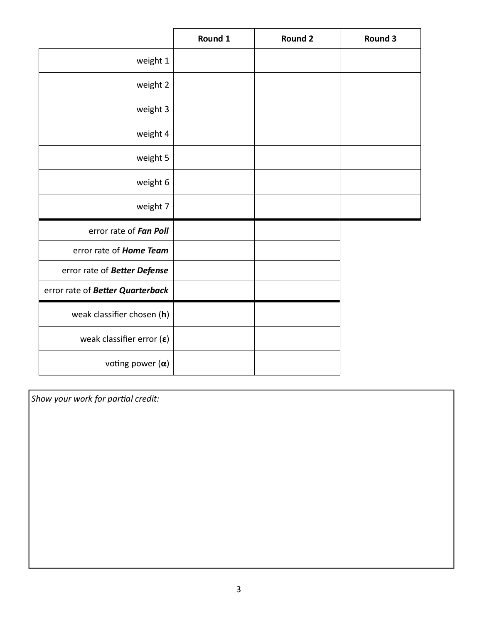|                                    | Round 1 | <b>Round 2</b> | Round 3 |
|------------------------------------|---------|----------------|---------|
| weight 1                           |         |                |         |
| weight 2                           |         |                |         |
| weight 3                           |         |                |         |
| weight 4                           |         |                |         |
| weight 5                           |         |                |         |
| weight 6                           |         |                |         |
| weight 7                           |         |                |         |
| error rate of Fan Poll             |         |                |         |
| error rate of Home Team            |         |                |         |
| error rate of Better Defense       |         |                |         |
| error rate of Better Quarterback   |         |                |         |
| weak classifier chosen (h)         |         |                |         |
| weak classifier error $(\epsilon)$ |         |                |         |
| voting power $(\alpha)$            |         |                |         |

*Show your work for partial credit:*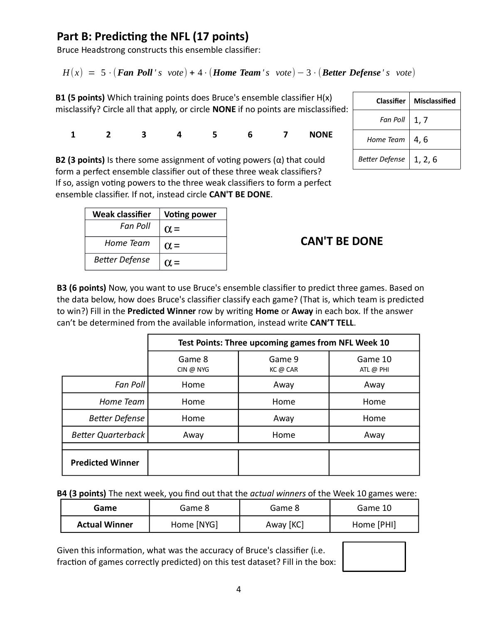#### **Part B: Predicting the NFL (17 points)**

Bruce Headstrong constructs this ensemble classifier:

 $H(x) = 5 \cdot ($ **Fan Poll**  $'s$  vote) + 4  $\cdot$  (**Home Team**  $'s$  *vote*) – 3  $\cdot$  (**Better Defense**  $'s$  *vote*)

**B1 (5 points)** Which training points does Bruce's ensemble classifier H(x) misclassify? Circle all that apply, or circle **NONE** if no points are misclassified:

**1 2 3 4 5 6 7 NONE**

|                | <b>Classifier   Misclassified</b> |
|----------------|-----------------------------------|
| Fan Poll       | 1, 7                              |
| Home Team      | 4,6                               |
| Better Defense | 1, 2, 6                           |

**B2 (3 points)** Is there some assignment of voting powers (α) that could form a perfect ensemble classifier out of these three weak classifiers? If so, assign voting powers to the three weak classifiers to form a perfect ensemble classifier. If not, instead circle **CAN'T BE DONE**.

| Weak classifier       | <b>Voting power</b> |
|-----------------------|---------------------|
| Fan Poll              | $\alpha =$          |
| Home Team             | $\alpha =$          |
| <b>Better Defense</b> | $\alpha =$          |

#### **CAN'T BE DONE**

**B3 (6 points)** Now, you want to use Bruce's ensemble classifier to predict three games. Based on the data below, how does Bruce's classifier classify each game? (That is, which team is predicted to win?) Fill in the **Predicted Winner** row by writing **Home** or **Away** in each box*.* If the answer can't be determined from the available information, instead write **CAN'T TELL**.

|                           | Test Points: Three upcoming games from NFL Week 10 |                    |                      |  |  |  |
|---------------------------|----------------------------------------------------|--------------------|----------------------|--|--|--|
|                           | Game 8<br>CIN @ NYG                                | Game 9<br>KC @ CAR | Game 10<br>ATL @ PHI |  |  |  |
| Fan Poll                  | Home                                               | Away               | Away                 |  |  |  |
| Home Team                 | Home                                               | Home               | Home                 |  |  |  |
| <b>Better Defense</b>     | Home                                               | Away               | Home                 |  |  |  |
| <b>Better Quarterback</b> | Away                                               | Home               | Away                 |  |  |  |
|                           |                                                    |                    |                      |  |  |  |
| <b>Predicted Winner</b>   |                                                    |                    |                      |  |  |  |

**B4 (3 points)** The next week, you find out that the *actual winners* of the Week 10 games were:

| Game                 | Game 8     | Game 8    | Game 10    |
|----------------------|------------|-----------|------------|
| <b>Actual Winner</b> | Home [NYG] | Away [KC] | Home [PHI] |

Given this information, what was the accuracy of Bruce's classifier (i.e. fraction of games correctly predicted) on this test dataset? Fill in the box:

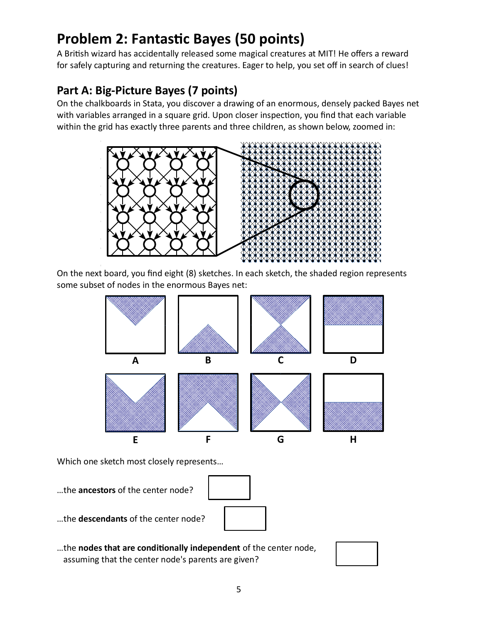# **Problem 2: Fantastic Bayes (50 points)**

A British wizard has accidentally released some magical creatures at MIT! He offers a reward for safely capturing and returning the creatures. Eager to help, you set off in search of clues!

#### **Part A: Big-Picture Bayes (7 points)**

On the chalkboards in Stata, you discover a drawing of an enormous, densely packed Bayes net with variables arranged in a square grid. Upon closer inspection, you find that each variable within the grid has exactly three parents and three children, as shown below, zoomed in:



On the next board, you find eight (8) sketches. In each sketch, the shaded region represents some subset of nodes in the enormous Bayes net:



Which one sketch most closely represents…

…the **ancestors** of the center node?



- …the **descendants** of the center node?
- …the **nodes that are conditionally independent** of the center node, assuming that the center node's parents are given?

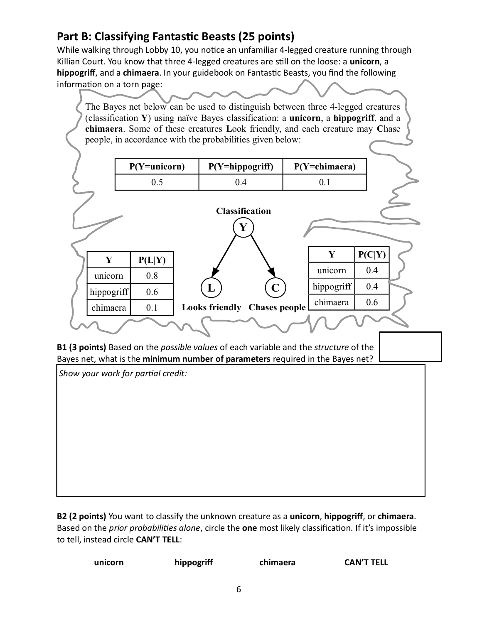#### **Part B: Classifying Fantastic Beasts (25 points)**

While walking through Lobby 10, you notice an unfamiliar 4-legged creature running through Killian Court. You know that three 4-legged creatures are still on the loose: a **unicorn**, a **hippogrif**, and a **chimaera**. In your guidebook on Fantastic Beasts, you find the following information on a torn page:

The Bayes net below can be used to distinguish between three 4-legged creatures (classification **Y**) using naïve Bayes classification: a **unicorn**, a **hippogriff**, and a **chimaera**. Some of these creatures **L**ook friendly, and each creature may **C**hase people, in accordance with the probabilities given below:

|            | $P(Y=unicorn)$ | P(Y=hippogriff)              |             | $P(Y=chimaera)$ |        |  |
|------------|----------------|------------------------------|-------------|-----------------|--------|--|
|            | 0.5            | 0.4                          |             | 0.1             |        |  |
|            |                |                              |             |                 |        |  |
|            |                | <b>Classification</b>        |             |                 |        |  |
|            |                | Y                            |             |                 |        |  |
|            |                |                              |             |                 |        |  |
| Y          | P(L Y)         |                              |             | Y               | P(C Y) |  |
| unicorn    | 0.8            |                              |             | unicorn         | 0.4    |  |
| hippogriff | 0.6            | L                            | $\mathbf C$ | hippogriff      | 0.4    |  |
| chimaera   | 0.1            | Looks friendly Chases people |             | chimaera        | 0.6    |  |
|            |                |                              |             |                 |        |  |
|            |                |                              |             |                 |        |  |

**B1 (3 points)** Based on the *possible values* of each variable and the *structure* of the Bayes net, what is the **minimum number of parameters** required in the Bayes net?

*Show your work for partial credit:*

**B2 (2 points)** You want to classify the unknown creature as a **unicorn**, **hippogrif**, or **chimaera**. Based on the *prior probabilities alone*, circle the **one** most likely classification. If it's impossible to tell, instead circle **CAN'T TELL**:

| hippogriff<br>unicorn<br>chimaera | <b>CAN'T TELL</b> |
|-----------------------------------|-------------------|
|-----------------------------------|-------------------|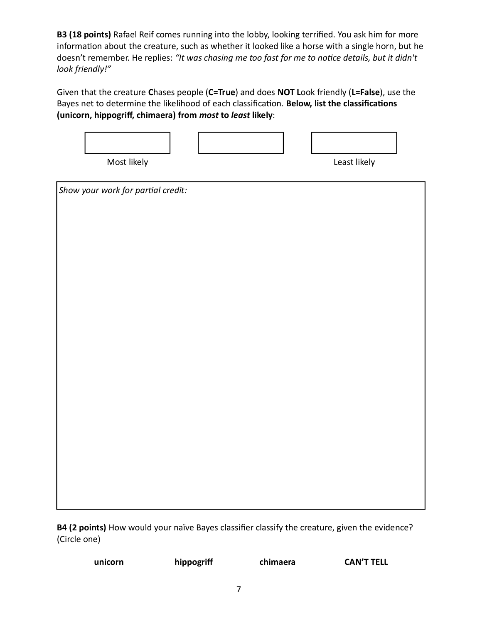**B3 (18 points)** Rafael Reif comes running into the lobby, looking terrified. You ask him for more information about the creature, such as whether it looked like a horse with a single horn, but he doesn't remember. He replies: *"It was chasing me too fast for me to notice details, but it didn't look friendly!"*

Given that the creature **C**hases people (**C=True**) and does **NOT L**ook friendly (**L=False**), use the Bayes net to determine the likelihood of each classification. **Below, list the classifications (unicorn, hippogrif, chimaera) from** *most* **to** *least* **likely**:



*Show your work for partial credit:*

**B4 (2 points)** How would your naïve Bayes classifier classify the creature, given the evidence? (Circle one)

**unicorn hippogrif chimaera CAN'T TELL**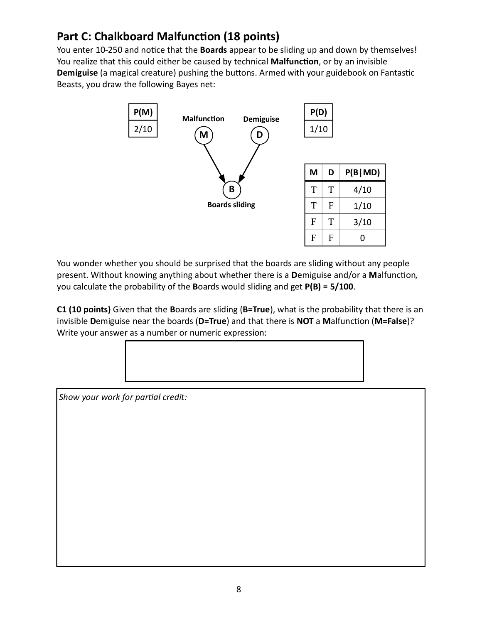#### **Part C: Chalkboard Malfunction (18 points)**

You enter 10-250 and notice that the **Boards** appear to be sliding up and down by themselves! You realize that this could either be caused by technical **Malfunction**, or by an invisible **Demiguise** (a magical creature) pushing the buttons. Armed with your guidebook on Fantastic Beasts, you draw the following Bayes net:



You wonder whether you should be surprised that the boards are sliding without any people present. Without knowing anything about whether there is a **D**emiguise and/or a **M**alfunction*,* you calculate the probability of the **B**oards would sliding and get **P(B) = 5/100**.

**C1 (10 points)** Given that the **B**oards are sliding (**B=True**), what is the probability that there is an invisible **D**emiguise near the boards (**D=True**) and that there is **NOT** a **M**alfunction (**M=False**)? Write your answer as a number or numeric expression:

*Show your work for partial credit:*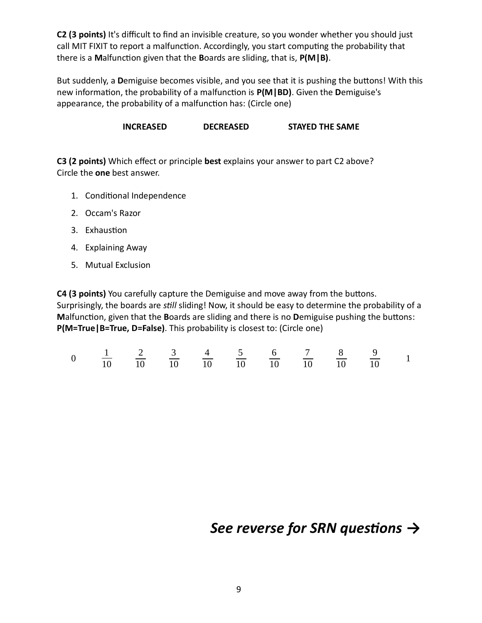**C2 (3 points)** It's difficult to find an invisible creature, so you wonder whether you should just call MIT FIXIT to report a malfunction. Accordingly, you start computing the probability that there is a **M**alfunction given that the **B**oards are sliding, that is, **P(M|B)**.

But suddenly, a **D**emiguise becomes visible, and you see that it is pushing the buttons! With this new information, the probability of a malfunction is **P(M|BD)**. Given the **D**emiguise's appearance, the probability of a malfunction has: (Circle one)

**INCREASED DECREASED STAYED THE SAME**

**C3 (2 points)** Which effect or principle **best** explains your answer to part C2 above? Circle the **one** best answer.

- 1. Conditional Independence
- 2. Occam's Razor
- 3. Exhaustion
- 4. Explaining Away
- 5. Mutual Exclusion

**C4 (3 points)** You carefully capture the Demiguise and move away from the buttons. Surprisingly, the boards are *still* sliding! Now, it should be easy to determine the probability of a **M**alfunction, given that the **B**oards are sliding and there is no **D**emiguise pushing the buttons: **P(M=True|B=True, D=False)**. This probability is closest to: (Circle one)

|  |  |  |  |  | $\frac{1}{10}$ $\frac{2}{10}$ $\frac{3}{10}$ $\frac{4}{10}$ $\frac{5}{10}$ $\frac{6}{10}$ $\frac{7}{10}$ $\frac{8}{10}$ $\frac{9}{10}$ 1 |  |
|--|--|--|--|--|------------------------------------------------------------------------------------------------------------------------------------------|--|
|  |  |  |  |  |                                                                                                                                          |  |

### *See reverse for SRN questions* **→**